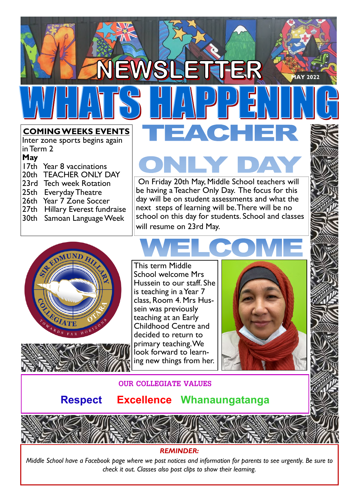#### **COMING WEEKS EVENTS**

Inter zone sports begins again in Term 2

- **May**
- 17th Year 8 vaccinations 20th TEACHER ONLY DAY 23rd Tech week Rotation 25th Everyday Theatre 26th Year 7 Zone Soccer 27th Hillary Everest fundraise
- 30th Samoan Language Week
- 

 On Friday 20th May, Middle School teachers will be having a Teacher Only Day. The focus for this day will be on student assessments and what the next steps of learning will be. There will be no school on this day for students. School and classes will resume on 23rd May.





This term Middle School welcome Mrs Hussein to our staff. She is teaching in a Year 7 class, Room 4. Mrs Hussein was previously teaching at an Early Childhood Centre and decided to return to primary teaching. We look forward to learning new things from her.



**MAY 2022** 





#### **Respect Excellence Whanaungatanga**

#### *REMINDER:*

*Middle School have a Facebook page where we post notices and information for parents to see urgently. Be sure to check it out. Classes also post clips to show their learning.*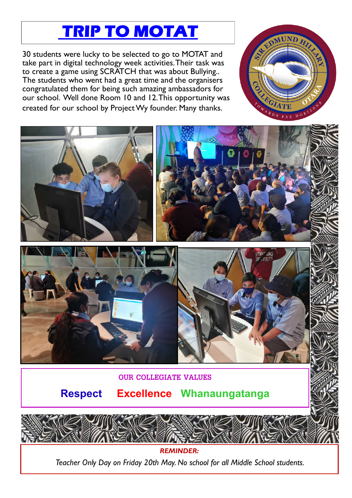# **TRIP TO MOTAT**

30 students were lucky to be selected to go to MOTAT and take part in digital technology week activities. Their task was to create a game using SCRATCH that was about Bullying.. The students who went had a great time and the organisers congratulated them for being such amazing ambassadors for our school. Well done Room 10 and 12. This opportunity was created for our school by Project Wy founder. Many thanks.





*REMINDER: Teacher Only Day on Friday 20th May. No school for all Middle School students.*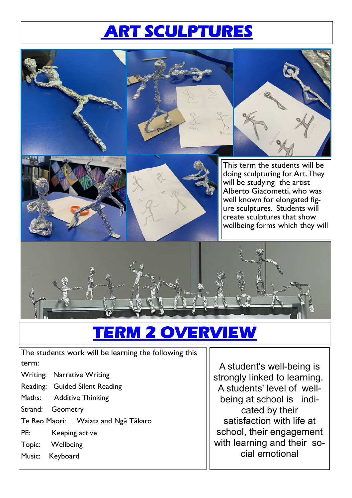# **ART SCULPTURES**



#### **RM 2 OVERVIEW**

The students work will be learning the following this term:

- Writing: Narrative Writing
- Reading: Guided Silent Reading
- Maths: Additive Thinking
- Strand: Geometry
- Te Reo Maori: Waiata and Ngā Tākaro
- PE: Keeping active
- Topic: Wellbeing
- Music: Keyboard

A student's well-being is strongly linked to learning. A students' level of wellbeing at school is indicated by their satisfaction with life at school, their engagement with learning and their social emotional